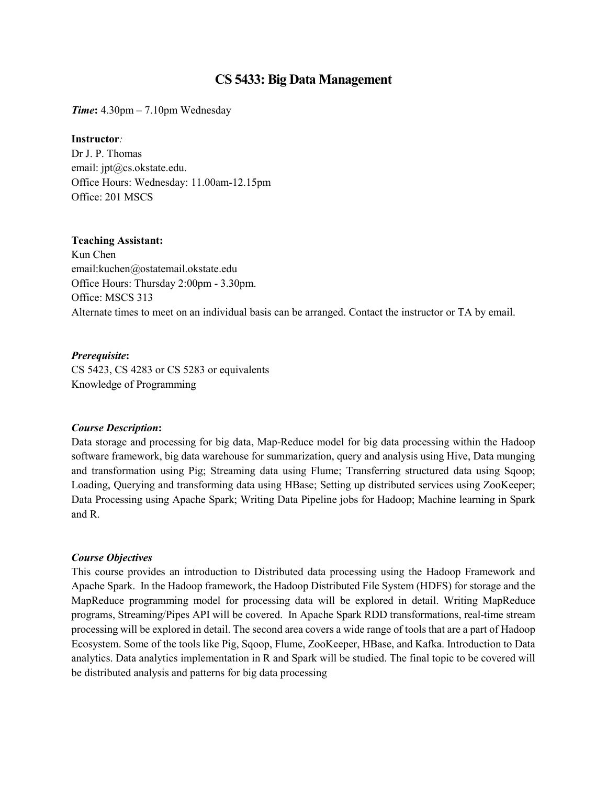# **CS 5433: Big Data Management**

*Time***:** 4.30pm – 7.10pm Wednesday

#### **Instructor***:*

Dr J. P. Thomas email: jpt@cs.okstate.edu. Office Hours: Wednesday: 11.00am-12.15pm Office: 201 MSCS

#### **Teaching Assistant:**

Kun Chen email:kuchen@ostatemail.okstate.edu Office Hours: Thursday 2:00pm - 3.30pm. Office: MSCS 313 Alternate times to meet on an individual basis can be arranged. Contact the instructor or TA by email.

*Prerequisite***:**  CS 5423, CS 4283 or CS 5283 or equivalents Knowledge of Programming

#### *Course Description***:**

Data storage and processing for big data, Map-Reduce model for big data processing within the Hadoop software framework, big data warehouse for summarization, query and analysis using Hive, Data munging and transformation using Pig; Streaming data using Flume; Transferring structured data using Sqoop; Loading, Querying and transforming data using HBase; Setting up distributed services using ZooKeeper; Data Processing using Apache Spark; Writing Data Pipeline jobs for Hadoop; Machine learning in Spark and R.

#### *Course Objectives*

This course provides an introduction to Distributed data processing using the Hadoop Framework and Apache Spark. In the Hadoop framework, the Hadoop Distributed File System (HDFS) for storage and the MapReduce programming model for processing data will be explored in detail. Writing MapReduce programs, Streaming/Pipes API will be covered. In Apache Spark RDD transformations, real-time stream processing will be explored in detail. The second area covers a wide range of tools that are a part of Hadoop Ecosystem. Some of the tools like Pig, Sqoop, Flume, ZooKeeper, HBase, and Kafka. Introduction to Data analytics. Data analytics implementation in R and Spark will be studied. The final topic to be covered will be distributed analysis and patterns for big data processing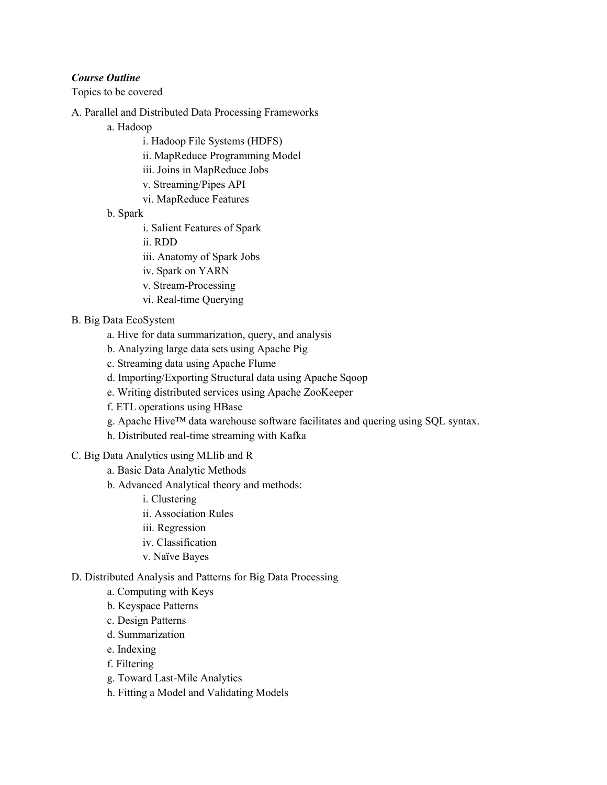# *Course Outline*

Topics to be covered

- A. Parallel and Distributed Data Processing Frameworks
	- a. Hadoop
		- i. Hadoop File Systems (HDFS)
		- ii. MapReduce Programming Model
		- iii. Joins in MapReduce Jobs
		- v. Streaming/Pipes API
		- vi. MapReduce Features
	- b. Spark
		- i. Salient Features of Spark
		- ii. RDD
		- iii. Anatomy of Spark Jobs
		- iv. Spark on YARN
		- v. Stream-Processing
		- vi. Real-time Querying
- B. Big Data EcoSystem
	- a. Hive for data summarization, query, and analysis
	- b. Analyzing large data sets using Apache Pig
	- c. Streaming data using Apache Flume
	- d. Importing/Exporting Structural data using Apache Sqoop
	- e. Writing distributed services using Apache ZooKeeper
	- f. ETL operations using HBase
	- g. [Apache Hive™](http://hive.apache.org/) data warehouse software facilitates and quering using SQL syntax.
	- h. Distributed real-time streaming with Kafka
- C. Big Data Analytics using MLlib and R
	- a. Basic Data Analytic Methods
	- b. Advanced Analytical theory and methods:
		- i. Clustering
		- ii. Association Rules
		- iii. Regression
		- iv. Classification
		- v. Naïve Bayes
- D. Distributed Analysis and Patterns for Big Data Processing
	- a. Computing with Keys
	- b. Keyspace Patterns
	- c. Design Patterns
	- d. Summarization
	- e. Indexing
	- f. Filtering
	- g. Toward Last-Mile Analytics
	- h. Fitting a Model and Validating Models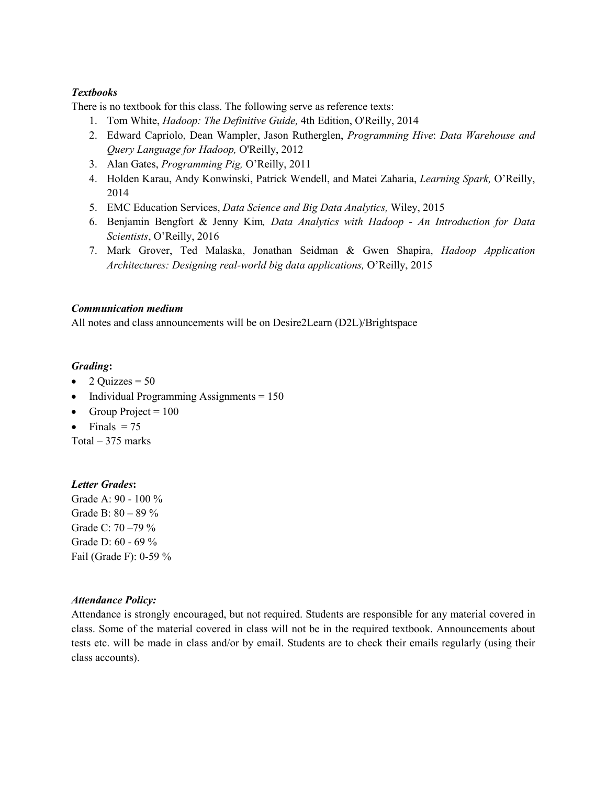# *Textbooks*

There is no textbook for this class. The following serve as reference texts:

- 1. Tom White, *Hadoop: The Definitive Guide,* 4th Edition, O'Reilly, 2014
- 2. Edward Capriolo, Dean Wampler, Jason Rutherglen, *Programming Hive*: *Data Warehouse and Query Language for Hadoop,* O'Reilly, 2012
- 3. Alan Gates, *Programming Pig,* O'Reilly, 2011
- 4. Holden Karau, Andy Konwinski, Patrick Wendell, and Matei Zaharia, *Learning Spark,* O'Reilly, 2014
- 5. EMC Education Services, *Data Science and Big Data Analytics,* Wiley, 2015
- 6. Benjamin Bengfort & Jenny Kim*, Data Analytics with Hadoop - An Introduction for Data Scientists*, O'Reilly, 2016
- 7. Mark Grover, Ted Malaska, Jonathan Seidman & Gwen Shapira, *Hadoop Application Architectures: Designing real-world big data applications,* O'Reilly, 2015

# *Communication medium*

All notes and class announcements will be on Desire2Learn (D2L)/Brightspace

# *Grading***:**

- 2 Quizzes =  $50$
- Individual Programming Assignments  $= 150$
- Group Project =  $100$
- Finals  $= 75$

Total  $-375$  marks

# *Letter Grades***:**

Grade A: 90 - 100 % Grade B: 80 – 89 % Grade C: 70 –79 % Grade D: 60 - 69 % Fail (Grade F): 0-59 %

# *Attendance Policy:*

Attendance is strongly encouraged, but not required. Students are responsible for any material covered in class. Some of the material covered in class will not be in the required textbook. Announcements about tests etc. will be made in class and/or by email. Students are to check their emails regularly (using their class accounts).